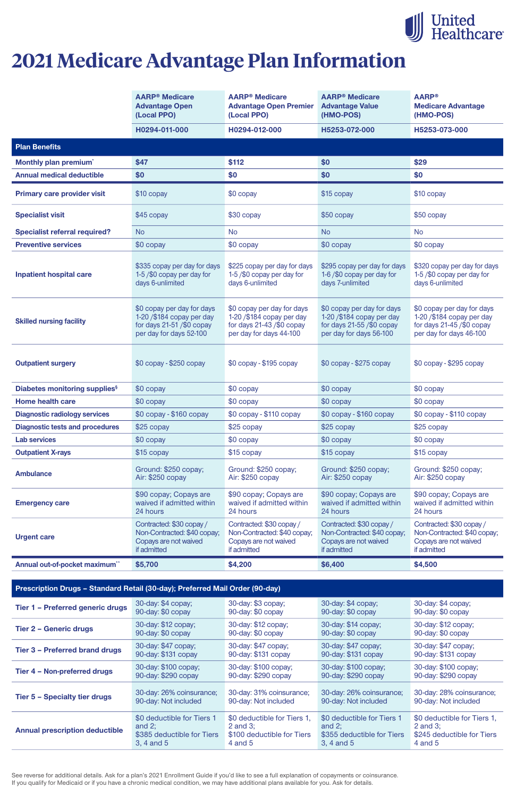See reverse for additional details. Ask for a plan's 2021 Enrollment Guide if you'd like to see a full explanation of copayments or coinsurance. If you qualify for Medicaid or if you have a chronic medical condition, we may have additional plans available for you. Ask for details.

|                                           | <b>AARP<sup>®</sup> Medicare</b><br><b>Advantage Open</b><br>(Local PPO)                                           | <b>AARP<sup>®</sup></b> Medicare<br><b>Advantage Open Premier</b><br>(Local PPO)                                   | <b>AARP<sup>®</sup> Medicare</b><br><b>Advantage Value</b><br>(HMO-POS)                                        | <b>AARP®</b><br><b>Medicare Advantage</b><br>(HMO-POS)                                                            |
|-------------------------------------------|--------------------------------------------------------------------------------------------------------------------|--------------------------------------------------------------------------------------------------------------------|----------------------------------------------------------------------------------------------------------------|-------------------------------------------------------------------------------------------------------------------|
|                                           | H0294-011-000                                                                                                      | H0294-012-000                                                                                                      | H5253-072-000                                                                                                  | H5253-073-000                                                                                                     |
| <b>Plan Benefits</b>                      |                                                                                                                    |                                                                                                                    |                                                                                                                |                                                                                                                   |
| Monthly plan premium <sup>*</sup>         | \$47                                                                                                               | \$112                                                                                                              | \$0                                                                                                            | \$29                                                                                                              |
| <b>Annual medical deductible</b>          | \$0                                                                                                                | \$0                                                                                                                | \$0                                                                                                            | \$0                                                                                                               |
| <b>Primary care provider visit</b>        | \$10 copay                                                                                                         | \$0 copay                                                                                                          | \$15 copay                                                                                                     | \$10 copay                                                                                                        |
| <b>Specialist visit</b>                   | \$45 copay                                                                                                         | \$30 copay                                                                                                         | \$50 copay                                                                                                     | $$50$ copay                                                                                                       |
| <b>Specialist referral required?</b>      | <b>No</b>                                                                                                          | <b>No</b>                                                                                                          | <b>No</b>                                                                                                      | <b>No</b>                                                                                                         |
| <b>Preventive services</b>                | \$0 copay                                                                                                          | \$0 copay                                                                                                          | \$0 copay                                                                                                      | \$0 copay                                                                                                         |
| <b>Inpatient hospital care</b>            | \$335 copay per day for days<br>1-5/\$0 copay per day for<br>days 6-unlimited                                      | \$225 copay per day for days<br>1-5/\$0 copay per day for<br>days 6-unlimited                                      | \$295 copay per day for days<br>1-6/\$0 copay per day for<br>days 7-unlimited                                  | \$320 copay per day for days<br>1-5/\$0 copay per day for<br>days 6-unlimited                                     |
| <b>Skilled nursing facility</b>           | \$0 copay per day for days<br>1-20 / \$184 copay per day<br>for days $21-51$ /\$0 copay<br>per day for days 52-100 | \$0 copay per day for days<br>1-20 / \$184 copay per day<br>for days $21-43$ /\$0 copay<br>per day for days 44-100 | \$0 copay per day for days<br>1-20/\$184 copay per day<br>for days $21-55/90$ copay<br>per day for days 56-100 | \$0 copay per day for days<br>1-20 /\$184 copay per day<br>for days $21-45$ /\$0 copay<br>per day for days 46-100 |
| <b>Outpatient surgery</b>                 | $$0$ copay - $$250$ copay                                                                                          | $$0$ copay - $$195$ copay                                                                                          | $$0$ copay - $$275$ copay                                                                                      | $$0$ copay - $$295$ copay                                                                                         |
| Diabetes monitoring supplies <sup>§</sup> | \$0 copay                                                                                                          | \$0 copay                                                                                                          | \$0 copay                                                                                                      | \$0 copay                                                                                                         |
| <b>Home health care</b>                   | \$0 copay                                                                                                          | \$0 copay                                                                                                          | \$0 copay                                                                                                      | \$0 copay                                                                                                         |
| <b>Diagnostic radiology services</b>      | $$0$ copay - $$160$ copay                                                                                          | \$0 copay - \$110 copay                                                                                            | \$0 copay - \$160 copay                                                                                        | \$0 copay - \$110 copay                                                                                           |
| <b>Diagnostic tests and procedures</b>    | \$25 copay                                                                                                         | $$25$ copay                                                                                                        | $$25$ copay                                                                                                    | $$25$ copay                                                                                                       |
| <b>Lab services</b>                       | \$0 copay                                                                                                          | \$0 copay                                                                                                          | \$0 copay                                                                                                      | \$0 copay                                                                                                         |
| <b>Outpatient X-rays</b>                  | \$15 copay                                                                                                         | \$15 copay                                                                                                         | \$15 copay                                                                                                     | \$15 copay                                                                                                        |
| <b>Ambulance</b>                          | Ground: \$250 copay;<br>Air: \$250 copay                                                                           | Ground: \$250 copay;<br>Air: \$250 copay                                                                           | Ground: \$250 copay;<br>Air: \$250 copay                                                                       | Ground: \$250 copay;<br>Air: \$250 copay                                                                          |
| <b>Emergency care</b>                     | \$90 copay; Copays are<br>waived if admitted within<br>24 hours                                                    | \$90 copay; Copays are<br>waived if admitted within<br>24 hours                                                    | \$90 copay; Copays are<br>waived if admitted within<br>24 hours                                                | \$90 copay; Copays are<br>waived if admitted within<br>24 hours                                                   |
| <b>Urgent care</b>                        | Contracted: \$30 copay /<br>Non-Contracted: \$40 copay;<br>Copays are not waived<br>if admitted                    | Contracted: \$30 copay /<br>Non-Contracted: \$40 copay;<br>Copays are not waived<br>if admitted                    | Contracted: \$30 copay /<br>Non-Contracted: \$40 copay;<br>Copays are not waived<br>if admitted                | Contracted: \$30 copay /<br>Non-Contracted: \$40 copay;<br>Copays are not waived<br>if admitted                   |
| Annual out-of-pocket maximum**            | \$5,700                                                                                                            | \$4,200                                                                                                            | \$6,400                                                                                                        | \$4,500                                                                                                           |

#### **Prescription Drugs – Standard Retail (30-day); Preferred Mail Order (90-day)**

| Tier 1 - Preferred generic drugs      | 30-day: \$4 copay;         | 30-day: \$3 copay;          | 30-day: \$4 copay;         | 30-day: \$4 copay;          |
|---------------------------------------|----------------------------|-----------------------------|----------------------------|-----------------------------|
|                                       | 90-day: \$0 copay          | 90-day: \$0 copay           | 90-day: \$0 copay          | 90-day: \$0 copay           |
| <b>Tier 2 - Generic drugs</b>         | 30-day: \$12 copay;        | 30-day: \$12 copay;         | 30-day: \$14 copay;        | 30-day: \$12 copay;         |
|                                       | 90-day: \$0 copay          | 90-day: \$0 copay           | 90-day: \$0 copay          | 90-day: \$0 copay           |
| <b>Tier 3 - Preferred brand drugs</b> | 30-day: \$47 copay;        | 30-day: \$47 copay;         | 30-day: \$47 copay;        | 30-day: \$47 copay;         |
|                                       | 90-day: \$131 copay        | 90-day: \$131 copay         | 90-day: \$131 copay        | 90-day: \$131 copay         |
| Tier 4 - Non-preferred drugs          | 30-day: \$100 copay;       | 30-day: \$100 copay;        | 30-day: \$100 copay;       | 30-day: \$100 copay;        |
|                                       | 90-day: \$290 copay        | 90-day: \$290 copay         | 90-day: \$290 copay        | 90-day: \$290 copay         |
| <b>Tier 5 - Specialty tier drugs</b>  | 30-day: 26% coinsurance;   | 30-day: 31% coinsurance;    | 30-day: 26% coinsurance;   | 30-day: 28% coinsurance;    |
|                                       | 90-day: Not included       | 90-day: Not included        | 90-day: Not included       | 90-day: Not included        |
| <b>Annual prescription deductible</b> | \$0 deductible for Tiers 1 | \$0 deductible for Tiers 1, | \$0 deductible for Tiers 1 | \$0 deductible for Tiers 1, |
|                                       | and $2$ ;                  | 2 and $3$ ;                 | and $2$ ;                  | 2 and $3$ ;                 |
|                                       | \$385 deductible for Tiers | \$100 deductible for Tiers  | \$355 deductible for Tiers | \$245 deductible for Tiers  |
|                                       | 3, 4 and 5                 | $4$ and $5$                 | 3, 4 and 5                 | 4 and 5                     |



# **2021 Medicare Advantage Plan Information**